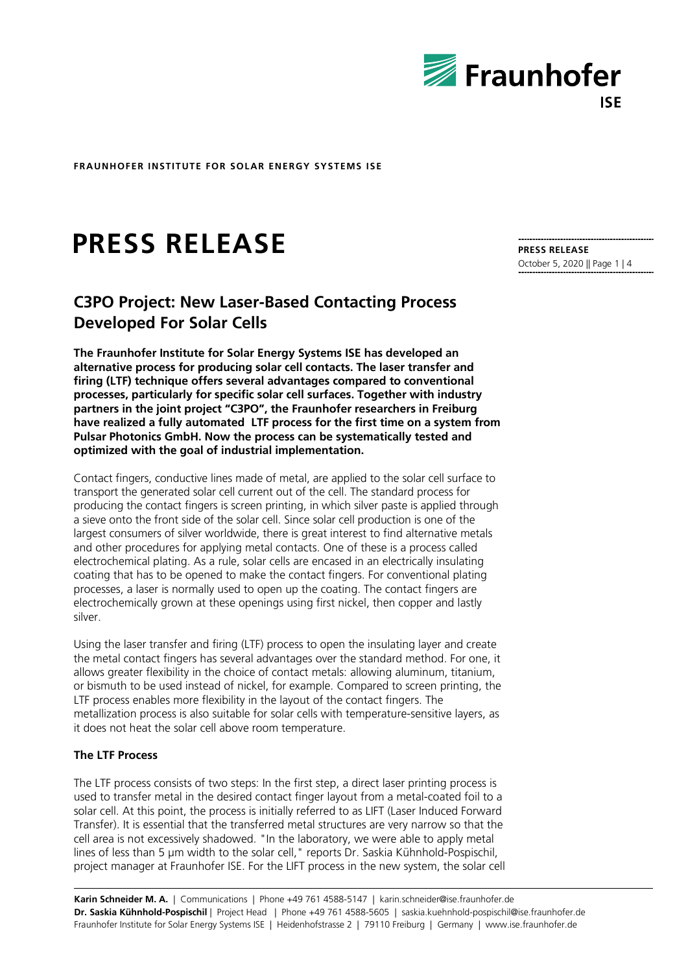

# **PRESS RELEASE**

# **C3PO Project: New Laser-Based Contacting Process Developed For Solar Cells**

**The Fraunhofer Institute for Solar Energy Systems ISE has developed an alternative process for producing solar cell contacts. The laser transfer and firing (LTF) technique offers several advantages compared to conventional processes, particularly for specific solar cell surfaces. Together with industry partners in the joint project "C3PO", the Fraunhofer researchers in Freiburg have realized a fully automated LTF process for the first time on a system from Pulsar Photonics GmbH. Now the process can be systematically tested and optimized with the goal of industrial implementation.**

Contact fingers, conductive lines made of metal, are applied to the solar cell surface to transport the generated solar cell current out of the cell. The standard process for producing the contact fingers is screen printing, in which silver paste is applied through a sieve onto the front side of the solar cell. Since solar cell production is one of the largest consumers of silver worldwide, there is great interest to find alternative metals and other procedures for applying metal contacts. One of these is a process called electrochemical plating. As a rule, solar cells are encased in an electrically insulating coating that has to be opened to make the contact fingers. For conventional plating processes, a laser is normally used to open up the coating. The contact fingers are electrochemically grown at these openings using first nickel, then copper and lastly silver.

Using the laser transfer and firing (LTF) process to open the insulating layer and create the metal contact fingers has several advantages over the standard method. For one, it allows greater flexibility in the choice of contact metals: allowing aluminum, titanium, or bismuth to be used instead of nickel, for example. Compared to screen printing, the LTF process enables more flexibility in the layout of the contact fingers. The metallization process is also suitable for solar cells with temperature-sensitive layers, as it does not heat the solar cell above room temperature.

# **The LTF Process**

The LTF process consists of two steps: In the first step, a direct laser printing process is used to transfer metal in the desired contact finger layout from a metal-coated foil to a solar cell. At this point, the process is initially referred to as LIFT (Laser Induced Forward Transfer). It is essential that the transferred metal structures are very narrow so that the cell area is not excessively shadowed. "In the laboratory, we were able to apply metal lines of less than 5 µm width to the solar cell," reports Dr. Saskia Kühnhold-Pospischil, project manager at Fraunhofer ISE. For the LIFT process in the new system, the solar cell

**Karin Schneider M. A.** | Communications | Phone +49 761 4588-5147 | karin.schneider@ise.fraunhofer.de **Dr. Saskia Kühnhold-Pospischil** | Project Head | Phone +49 761 4588-5605 | saskia.kuehnhold-pospischil@ise.fraunhofer.de Fraunhofer Institute for Solar Energy Systems ISE | Heidenhofstrasse 2 | 79110 Freiburg | Germany | www.ise.fraunhofer.de

**PRESS RELEASE** October 5, 2020 || Page 1 | 4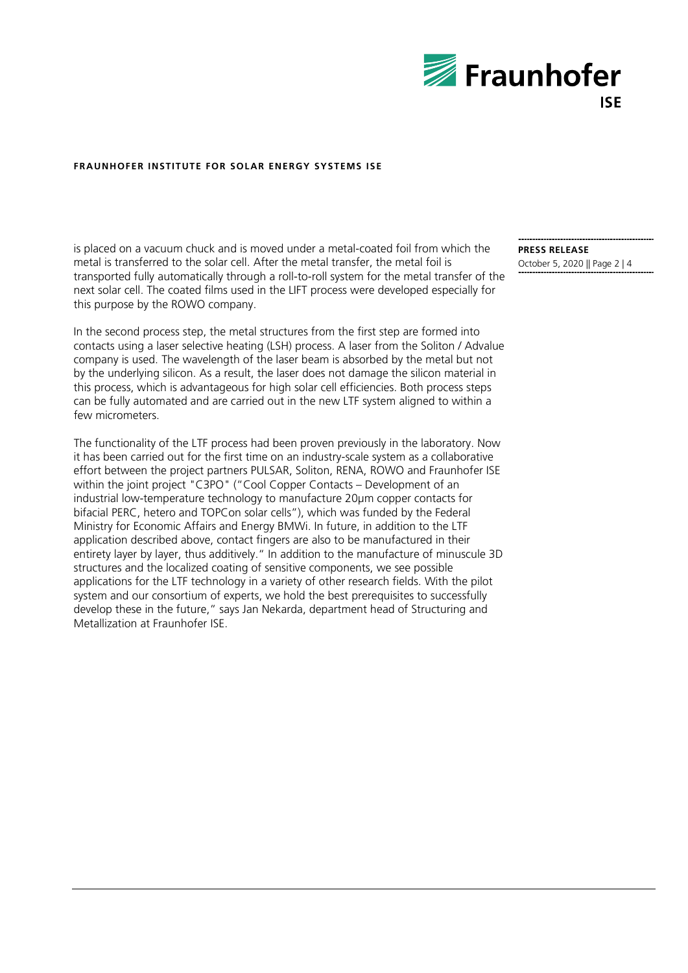

is placed on a vacuum chuck and is moved under a metal-coated foil from which the metal is transferred to the solar cell. After the metal transfer, the metal foil is transported fully automatically through a roll-to-roll system for the metal transfer of the next solar cell. The coated films used in the LIFT process were developed especially for this purpose by the ROWO company.

In the second process step, the metal structures from the first step are formed into contacts using a laser selective heating (LSH) process. A laser from the Soliton / Advalue company is used. The wavelength of the laser beam is absorbed by the metal but not by the underlying silicon. As a result, the laser does not damage the silicon material in this process, which is advantageous for high solar cell efficiencies. Both process steps can be fully automated and are carried out in the new LTF system aligned to within a few micrometers.

The functionality of the LTF process had been proven previously in the laboratory. Now it has been carried out for the first time on an industry-scale system as a collaborative effort between the project partners PULSAR, Soliton, RENA, ROWO and Fraunhofer ISE within the joint project "C3PO" ("Cool Copper Contacts – Development of an industrial low-temperature technology to manufacture 20µm copper contacts for bifacial PERC, hetero and TOPCon solar cells"), which was funded by the Federal Ministry for Economic Affairs and Energy BMWi. In future, in addition to the LTF application described above, contact fingers are also to be manufactured in their entirety layer by layer, thus additively." In addition to the manufacture of minuscule 3D structures and the localized coating of sensitive components, we see possible applications for the LTF technology in a variety of other research fields. With the pilot system and our consortium of experts, we hold the best prerequisites to successfully develop these in the future," says Jan Nekarda, department head of Structuring and Metallization at Fraunhofer ISE.

**PRESS RELEASE** October 5, 2020 || Page 2 | 4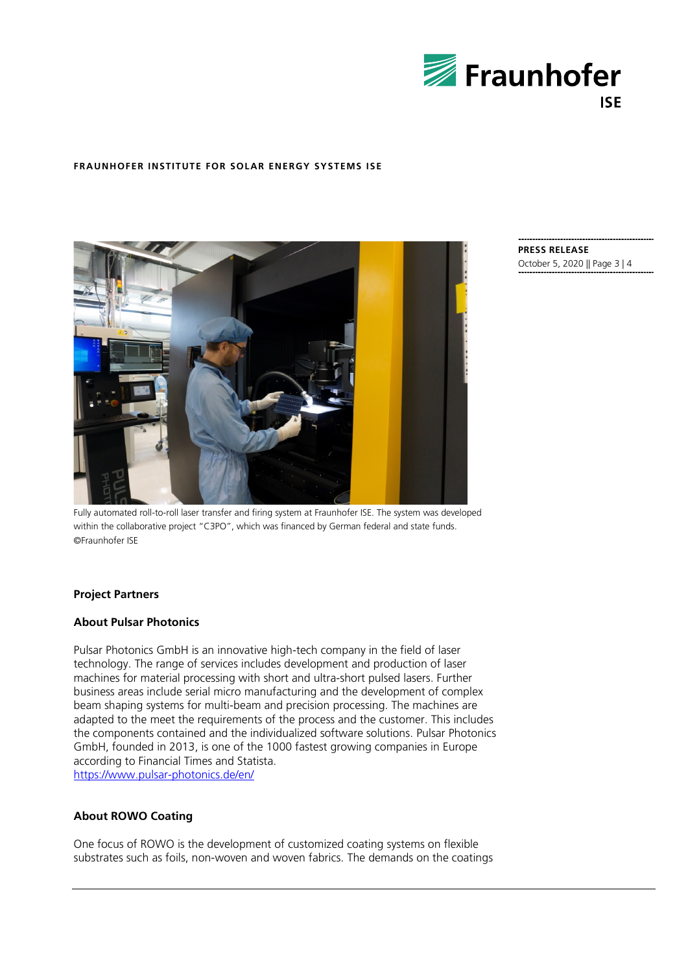



**PRESS RELEASE** October 5, 2020 || Page 3 | 4

Fully automated roll-to-roll laser transfer and firing system at Fraunhofer ISE. The system was developed within the collaborative project "C3PO", which was financed by German federal and state funds. ©Fraunhofer ISE

# **Project Partners**

# **About Pulsar Photonics**

Pulsar Photonics GmbH is an innovative high-tech company in the field of laser technology. The range of services includes development and production of laser machines for material processing with short and ultra-short pulsed lasers. Further business areas include serial micro manufacturing and the development of complex beam shaping systems for multi-beam and precision processing. The machines are adapted to the meet the requirements of the process and the customer. This includes the components contained and the individualized software solutions. Pulsar Photonics GmbH, founded in 2013, is one of the 1000 fastest growing companies in Europe according to Financial Times and Statista. <https://www.pulsar-photonics.de/en/>

# **About ROWO Coating**

One focus of ROWO is the development of customized coating systems on flexible substrates such as foils, non-woven and woven fabrics. The demands on the coatings